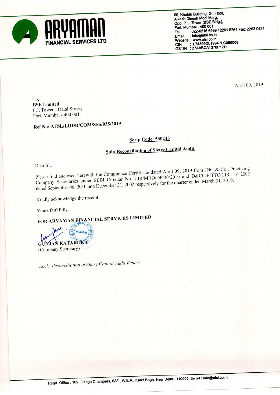

April 09, 2019

To, BSE Limited P.J. Towers, Dalal Street, Fort, Mumbal -400 <sup>001</sup>

Ref No: AFSL/LODR/COM/SSS/035/2019

## Scrip Code: <sup>530245</sup>

## Sub: Reconciliation of Share Capital Audit

Dear Sir,<br>Please find enclosed herewith the Compliance Certificate dated April 09, 2019 from JNG & Co., Practicing<br>CERL Giroular No. CIR/MRD/DP/30/2010 and D&CC/FITTC/CIR-16/ 2002 Company Secretaries under SEBI Circular No. CIR/MRD/DP/30/2010 and D&CC/FITTC/CIR-16/ 2002 dated September 06, 2010 and December 31, 2002 respectively for the quarter ended March 31, 2019.

Kindly acknowledge the receipt.

Yours faithfully.

FOR ARYAMAN EINANCIAL SERVICES LIMITED



Encl: Reconciliation of Share Capital Audit Report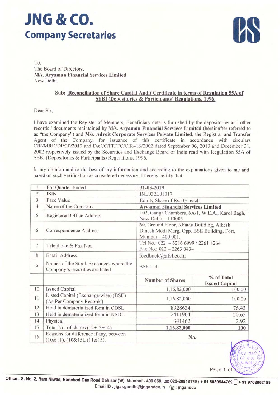## JNG & CO. Company Secretaries



To. The Board of Directors, M/s. Aryaman Financial Services Limited New Delhi.

## Sub: Reconciliation of Share Capital Audit Certificate in terms of Regulation 55A of SEBI (Depositories & Participants) Regulations, 1996.

Dear Sir.

<sup>1</sup> have examined the Register of Members, Beneficiary details furnished by the depositories and other records / documents maintained by M/s. Aryaman Financial Services Limited (hereinafter referred to as "the Company") and M/s. Adroit Corporate Services Private Limited, the Registrar and Transfer Agent of the Company, for issuance of this certificate in accordance with circulars CIR/MRD/DP/30/2010 and D&CC/FlTTC/C1R—l6/2002 dated September 06, 2010 and December 31, <sup>2002</sup> respectively issued by the Securities and Exchange Board of India read with Regulation 55A of SEBI (Depositories & Participants) Regulations, 1996.

In my opinion and to the best of my information and according to the explanations given to me and based on such verification as considered necessary. <sup>I</sup> hereby certify that:

| 1              | For Quarter Ended                                                         | 31-03-2019                                                                                                   |                                     |  |  |  |
|----------------|---------------------------------------------------------------------------|--------------------------------------------------------------------------------------------------------------|-------------------------------------|--|--|--|
| $\overline{2}$ | <b>ISIN</b>                                                               | INE032E01017                                                                                                 |                                     |  |  |  |
| 3              | Face Value                                                                | Equity Share of Rs.10/- each                                                                                 |                                     |  |  |  |
| $\overline{4}$ | Name of the Company                                                       | <b>Aryaman Financial Services Limited</b>                                                                    |                                     |  |  |  |
| 5              | Registered Office Address                                                 | 102, Ganga Chambers, 6A/1, W.E.A., Karol Bagh,<br>New Delhi - 110005.                                        |                                     |  |  |  |
| 6              | Correspondence Address                                                    | 60, Ground Floor, Khatau Building, Alkesh<br>Dinesh Modi Marg, Opp. BSE Building, Fort,<br>Mumbai - 400 001. |                                     |  |  |  |
| 7              | Telephone & Fax Nos.                                                      | Tel No.: 022 - 6216 6999 / 2261 8264<br>Fax No.: 022 - 2263 0434                                             |                                     |  |  |  |
| 8              | <b>Email Address</b>                                                      | feedback@afsl.co.in                                                                                          |                                     |  |  |  |
| 9              | Names of the Stock Exchanges where the<br>Company's securities are listed | <b>BSE</b> Ltd.                                                                                              |                                     |  |  |  |
|                |                                                                           | <b>Number of Shares</b>                                                                                      | % of Total<br><b>Issued Capital</b> |  |  |  |
| 10             | <b>Issued Capital</b>                                                     | 1,16,82,000                                                                                                  | 100.00                              |  |  |  |
| 11             | Listed Capital (Exchange-wise) (BSE)<br>(As Per Company Records)          | 1,16,82,000                                                                                                  | 100.00                              |  |  |  |
| 12             | Held in dematerialized form in CDSL                                       | 8928634                                                                                                      | 76.43                               |  |  |  |
| 13             | Held in dematerialized form in NSDL                                       | 2411904                                                                                                      | 20.65                               |  |  |  |
| 14             | Physical                                                                  | 341462                                                                                                       | 2.92                                |  |  |  |
| 15             | Total No. of shares $(12+13+14)$                                          | 1,16,82,000                                                                                                  | 100                                 |  |  |  |
| 16             | Reasons for difference if any, between<br>(10&11), (10&15), (11&15).      | <b>NA</b>                                                                                                    |                                     |  |  |  |

Office : S. No. 2, Ram Niwas, Ranchod Das Road,Dahisar (W), Mumbai - 400 068. 2022-28918179 / + 91 8080544769  $+$  91 9702002189 Email ID : jigar.gandhi@jngandco.in  $\circ$  : jngandco

Page 1 o